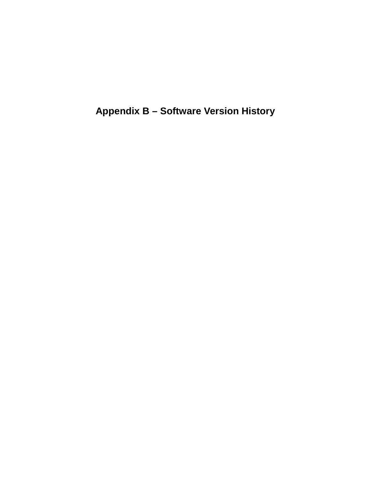**Appendix B – Software Version History**